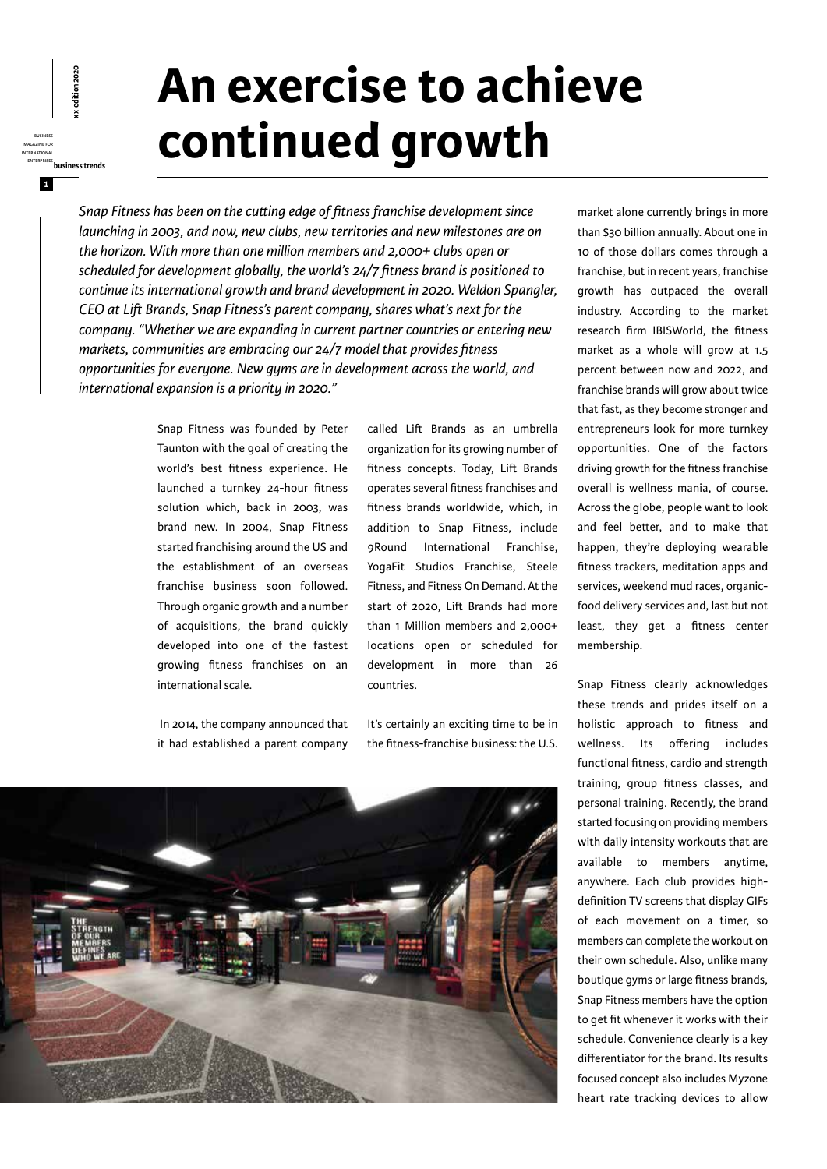## **An exercise to achieve continued growth**

*Snap Fitness has been on the cutting edge of fitness franchise development since launching in 2003, and now, new clubs, new territories and new milestones are on the horizon. With more than one million members and 2,000+ clubs open or scheduled for development globally, the world's 24/7 fitness brand is positioned to continue its international growth and brand development in 2020. Weldon Spangler, CEO at Lift Brands, Snap Fitness's parent company, shares what's next for the company. "Whether we are expanding in current partner countries or entering new markets, communities are embracing our 24/7 model that provides fitness opportunities for everyone. New gyms are in development across the world, and international expansion is a priority in 2020."*

> Snap Fitness was founded by Peter Taunton with the goal of creating the world's best fitness experience. He launched a turnkey 24-hour fitness solution which, back in 2003, was brand new. In 2004, Snap Fitness started franchising around the US and the establishment of an overseas franchise business soon followed. Through organic growth and a number of acquisitions, the brand quickly developed into one of the fastest growing fitness franchises on an international scale.

business magazine for international enterprises

**1**

**xx edition 2020**

x edition 2020

 **business trends**

 In 2014, the company announced that it had established a parent company

called Lift Brands as an umbrella organization for its growing number of fitness concepts. Today, Lift Brands operates several fitness franchises and fitness brands worldwide, which, in addition to Snap Fitness, include 9Round International Franchise, YogaFit Studios Franchise, Steele Fitness, and Fitness On Demand. At the start of 2020, Lift Brands had more than 1 Million members and 2,000+ locations open or scheduled for development in more than 26 countries.

It's certainly an exciting time to be in the fitness-franchise business: the U.S. market alone currently brings in more than \$30 billion annually. About one in 10 of those dollars comes through a franchise, but in recent years, franchise growth has outpaced the overall industry. According to the market research firm IBISWorld, the fitness market as a whole will grow at 1.5 percent between now and 2022, and franchise brands will grow about twice that fast, as they become stronger and entrepreneurs look for more turnkey opportunities. One of the factors driving growth for the fitness franchise overall is wellness mania, of course. Across the globe, people want to look and feel better, and to make that happen, they're deploying wearable fitness trackers, meditation apps and services, weekend mud races, organicfood delivery services and, last but not least, they get a fitness center membership.

Snap Fitness clearly acknowledges these trends and prides itself on a holistic approach to fitness and wellness. Its offering includes functional fitness, cardio and strength training, group fitness classes, and personal training. Recently, the brand started focusing on providing members with daily intensity workouts that are available to members anytime, anywhere. Each club provides highdefinition TV screens that display GIFs of each movement on a timer, so members can complete the workout on their own schedule. Also, unlike many boutique gyms or large fitness brands, Snap Fitness members have the option to get fit whenever it works with their schedule. Convenience clearly is a key differentiator for the brand. Its results focused concept also includes Myzone heart rate tracking devices to allow